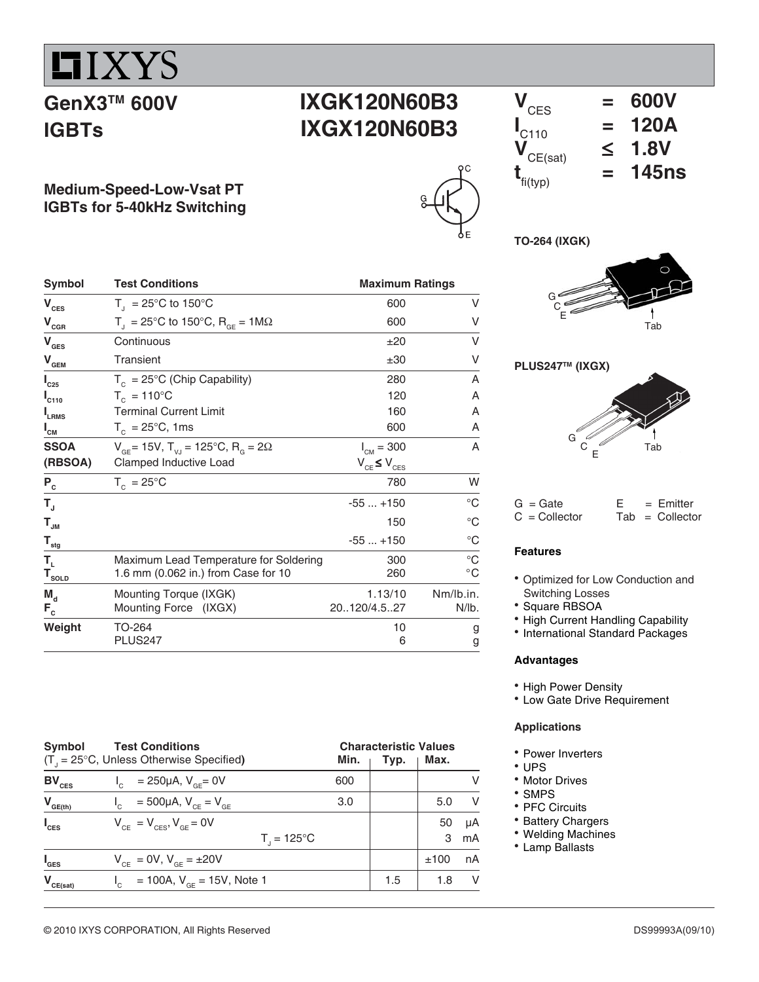# $IIIXYS$

## **GenX3TM 600V IGBTs**

# **IXGK120N60B3 IXGX120N60B3**

**Medium-Speed-Low-Vsat PT IGBTs for 5-40kHz Switching**

| Symbol                                                                                        | <b>Test Conditions</b>                                                | <b>Maximum Ratings</b> |              |  |  |
|-----------------------------------------------------------------------------------------------|-----------------------------------------------------------------------|------------------------|--------------|--|--|
| $\mathbf{V}_{\mathrm{CES}}$                                                                   | $T_{\text{I}}$ = 25°C to 150°C                                        | 600                    | V            |  |  |
| $\mathbf{V}_{\text{c}\ensuremath{\underline{\mathbf{G}}}\ensuremath{\underline{\mathbf{R}}}}$ | $T_{\text{d}} = 25^{\circ}$ C to 150°C, R <sub>GE</sub> = 1M $\Omega$ | 600                    | ٧            |  |  |
| $\mathbf{V}_{\texttt{GES}}$                                                                   | Continuous                                                            | ±20                    | V            |  |  |
| $\mathbf{V}_{\mathbf{GEM}}$                                                                   | Transient                                                             | ±30                    | V            |  |  |
| $I_{C25}$                                                                                     | $T_c = 25^{\circ}C$ (Chip Capability)                                 | 280                    | A            |  |  |
| $I_{C110}$                                                                                    | $T_c = 110^{\circ}C$                                                  | 120                    | Α            |  |  |
| $I_{LRMS}$                                                                                    | <b>Terminal Current Limit</b>                                         | 160                    | Α            |  |  |
| $I_{\texttt{CM}}$                                                                             | $T_c = 25^{\circ}C$ , 1ms                                             | 600                    | Α            |  |  |
| <b>SSOA</b>                                                                                   | $V_{GF}$ = 15V, T <sub>VJ</sub> = 125°C, R <sub>G</sub> = 2 $\Omega$  | $I_{CM} = 300$         | A            |  |  |
| (RBSOA)                                                                                       | Clamped Inductive Load                                                | $V_{CE} \le V_{CES}$   |              |  |  |
| $P_c$                                                                                         | $T_c = 25^{\circ}C$                                                   | 780                    | W            |  |  |
| $\mathsf{T}_{\mathrm{u}}$                                                                     |                                                                       | $-55+150$              | $^{\circ}C$  |  |  |
| $\mathsf{T}_{\mathsf{JM}}$                                                                    |                                                                       | 150                    | $^{\circ}C$  |  |  |
| $\mathbf{T}_{\text{stg}}$                                                                     |                                                                       | $-55+150$              | $^{\circ}C$  |  |  |
| Т,                                                                                            | Maximum Lead Temperature for Soldering                                | 300                    | $^{\circ}C$  |  |  |
| $T_{\text{sOLD}}$                                                                             | 1.6 mm (0.062 in.) from Case for 10                                   | 260                    | $^{\circ}$ C |  |  |
| $M_{A}$                                                                                       | Mounting Torque (IXGK)                                                | 1.13/10                | Nm/lb.in.    |  |  |
| $F_c$                                                                                         | Mounting Force (IXGX)                                                 | 20120/4.527            | N/lb.        |  |  |
| Weight                                                                                        | TO-264                                                                | 10                     | g            |  |  |
|                                                                                               | <b>PLUS247</b>                                                        | 6                      | g            |  |  |

| Symbol<br>$(T_{1} = 25^{\circ}C,$ Unless Otherwise Specified) | Min.                                                      | <b>Characteristic Values</b><br>Max.<br>Typ. |     |     |      |    |
|---------------------------------------------------------------|-----------------------------------------------------------|----------------------------------------------|-----|-----|------|----|
| $BV_{CES}$                                                    | $I_c = 250 \mu A$ , $V_{BF} = 0V$                         |                                              | 600 |     |      |    |
| $V_{GE(th)}$                                                  | $V_{\text{C}} = 500 \mu A, V_{\text{CF}} = V_{\text{GF}}$ |                                              | 3.0 |     | 5.0  |    |
| $I_{\text{CES}}$                                              | $V_{CF} = V_{CFS}$ , $V_{GF} = 0V$                        |                                              |     |     | 50   | μA |
|                                                               |                                                           | $T_{1} = 125^{\circ}C$                       |     |     | 3    | mA |
| $I_{\texttt{GES}}$                                            | $V_{CF} = 0V$ , $V_{GF} = \pm 20V$                        |                                              |     |     | ±100 | nA |
| $V_{CE(sat)}$                                                 | = 100A, $V_{GE}$ = 15V, Note 1<br>$I_{c}$                 |                                              |     | 1.5 | 1.8  | v  |



**TO-264 (IXGK)**



#### **PLUS247TM (IXGX)**



 $G = Gate$   $E = Emitter$ <br>  $C = Collector$  Tab = Collecto  $Tab = Collector$ 

#### **Features**

- Optimized for Low Conduction and Switching Losses
- Square RBSOA
- High Current Handling Capability
- International Standard Packages

#### **Advantages**

- High Power Density
- Low Gate Drive Requirement

#### **Applications**

- Power Inverters
- <sup>z</sup> UPS
- Motor Drives
- SMPS
- PFC Circuits
- Battery Chargers
- Welding Machines
- Lamp Ballasts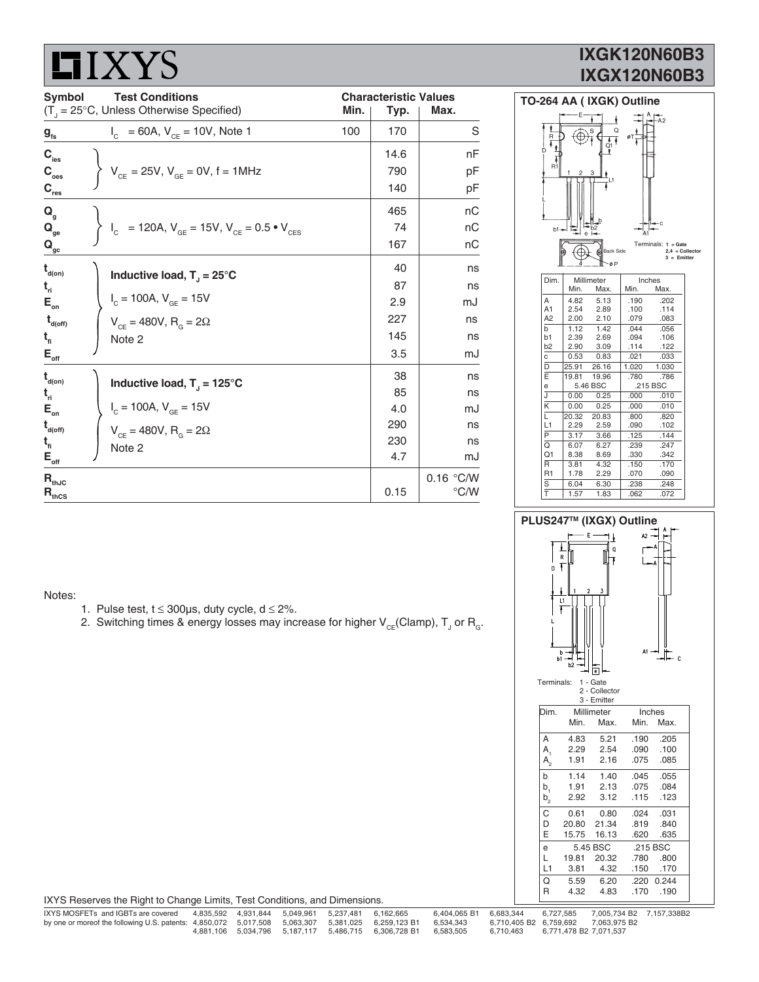# **LIXYS**

## **IXGK120N60B3 IXGX120N60B3**

| Symbol                                                               | <b>Characteristic Values</b>                                            |      |      |           |
|----------------------------------------------------------------------|-------------------------------------------------------------------------|------|------|-----------|
| $(T_{j} = 25^{\circ}C,$ Unless Otherwise Specified)                  | Typ.                                                                    | Max. |      |           |
| $g_{\rm fs}$                                                         | = 60A, $V_{CE}$ = 10V, Note 1<br>$I_{\rm c}$                            | 100  | 170  | S         |
| $\mathbf{C}_{\text{ies}}$                                            |                                                                         |      | 14.6 | nF        |
| $\mathbf{C}_{_{\mathrm{oes}}}$                                       | $V_{CE} = 25V, V_{GE} = 0V, f = 1MHz$                                   |      | 790  | рF        |
| $C_{res}$                                                            |                                                                         |      | 140  | рF        |
| $Q_{\alpha}$                                                         |                                                                         |      | 465  | nC        |
| $\mathbf{Q}_{\text{ge}}$                                             | $I_c$ = 120A, $V_{GE}$ = 15V, $V_{CE}$ = 0.5 $\bullet$ V <sub>CES</sub> |      | 74   | nС        |
| $\mathbf{Q}_{\mathrm{gc}}$                                           |                                                                         |      | 167  | nС        |
| $\mathbf{t}_{\text{\tiny d(0n)}}$                                    | Inductive load, $T_1 = 25^{\circ}C$                                     |      | 40   | ns        |
| $t_{ri}$                                                             |                                                                         |      | 87   | ns        |
| $\mathsf{E}_{\scriptscriptstyle{\mathsf{on}}}$                       | $I_c = 100A, V_{GE} = 15V$                                              |      | 2.9  | mJ        |
| $t_{\text{\tiny d(off)}}$                                            | $V_{CF} = 480V, R_{G} = 2\Omega$                                        |      | 227  | ns        |
| $t_{\rm fi}$                                                         | Note 2                                                                  |      | 145  | ns        |
| $\mathsf{E}_{\underbrace{\mathsf{off}}}_{\underbrace{\mathsf{off}}}$ |                                                                         |      | 3.5  | mJ        |
| $\mathbf{t}_{\text{d}(on)}$                                          | Inductive load, $T_1 = 125^{\circ}C$                                    |      | 38   | ns        |
| $t_{ri}$                                                             |                                                                         |      | 85   | ns        |
| $\mathsf{E}_{_{\sf on}}$                                             | $I_c = 100A, V_{GE} = 15V$                                              |      | 4.0  | mJ        |
| $\mathbf{t}_{\mathsf{d}(\mathsf{off})}$                              | $V_{CF} = 480V$ , $R_{G} = 2\Omega$                                     |      | 290  | ns        |
| $t_{\rm fl}$                                                         | Note 2                                                                  |      | 230  | ns        |
| $\mathsf{E}_{\scriptscriptstyle{\mathsf{off}}}$                      |                                                                         |      | 4.7  | mJ        |
| $\mathbf{R}_{\text{thJC}}$                                           |                                                                         |      |      | 0.16 °C/W |
| $\mathbf{R}_{\text{thCS}}$                                           |                                                                         |      | 0.15 | °C/W      |



01 8.38 8.69 .330 .342<br>
R 3.81 4.32 .150 .170<br>
R1 1.78 2.29 .070 .090 1.70 3.81 4.32 .150 .170<br>1.78 2.29 .070 .090  $\overline{4.32}$ <br>2.29 S 6.04 6.30 .238 .248<br>T 1.57 1.83 .062 .072 T 1.57 1.83 .062 .072

Notes:

- 1. Pulse test,  $t \le 300 \mu s$ , duty cycle,  $d \le 2\%$ .
- 2. Switching times & energy losses may increase for higher  $\mathsf{V}_{\varepsilon \varepsilon}$ (Clamp),  $\mathsf{T}_{\text{J}}$  or  $\mathsf{R}_{\text{g}}$ .

| PLUS247™ (IXGX) Outline                                                                                       |                         |                        |                                          |                          |                      |  |  |  |
|---------------------------------------------------------------------------------------------------------------|-------------------------|------------------------|------------------------------------------|--------------------------|----------------------|--|--|--|
| $42 - A$<br>E<br>Q<br>R<br>Ŧ<br>A<br>Ŧ<br>D<br>3<br>2<br>L1<br>Ŧ<br>$At -$<br>$\mathbb{L}_c$<br>h<br>b1<br>b2 |                         |                        |                                          |                          |                      |  |  |  |
|                                                                                                               | Terminals:              |                        | 1 - Gate<br>2 - Collector<br>3 - Emitter |                          |                      |  |  |  |
|                                                                                                               | Dim.                    | Min.                   | Millimeter<br>Max.                       | Min.                     | Inches<br>Max.       |  |  |  |
|                                                                                                               | А<br>$A_{1}$<br>$A_{2}$ | 4.83<br>2.29<br>1.91   | 5.21<br>2.54<br>2.16                     | .190<br>.090<br>.075     | .205<br>.100<br>.085 |  |  |  |
|                                                                                                               | b<br>$b_1$<br>$b_{2}$   | 1.14<br>1.91<br>2.92   | 1.40<br>2.13<br>3.12                     | .045<br>.075<br>.115     | .055<br>.084<br>.123 |  |  |  |
|                                                                                                               | С<br>D<br>E             | 0.61<br>20.80<br>15.75 | 0.80<br>21.34<br>16.13                   | .024<br>.819<br>.620     | .031<br>.840<br>.635 |  |  |  |
|                                                                                                               | е<br>L<br>L1            | 19.81<br>3.81          | 5.45 BSC<br>20.32<br>4.32                | .215 BSC<br>.780<br>.150 | .800<br>.170         |  |  |  |
|                                                                                                               | Q<br>R                  | 5.59<br>4.32           | 6.20<br>4.83                             | .220<br>.170             | 0.244<br>.190        |  |  |  |

| IXYS Reserves the Right to Change Limits, Test Conditions, and Dimensions. |  |  |
|----------------------------------------------------------------------------|--|--|

| IXYS MOSFETs and IGBTs are covered                                                                          |  | 4.835.592  4.931.844  5.049.961  5.237.481  6.162.665 |                                                                      | 6.404.065 B1 6.683.344 |           | 6.727.585              | 7.005.734 B2 7.157.338B2            |  |
|-------------------------------------------------------------------------------------------------------------|--|-------------------------------------------------------|----------------------------------------------------------------------|------------------------|-----------|------------------------|-------------------------------------|--|
| by one or moreof the following U.S. patents: 4,850,072 5,017,508 5,063,307 5,381,025 6,259,123 B1 6,534,343 |  |                                                       |                                                                      |                        |           |                        | 6.710.405 B2 6.759.692 7.063.975 B2 |  |
|                                                                                                             |  |                                                       | 4.881.106  5.034.796  5.187.117  5.486.715  6.306.728  B1  6.583.505 |                        | 6.710.463 | 6.771.478 B2 7.071.537 |                                     |  |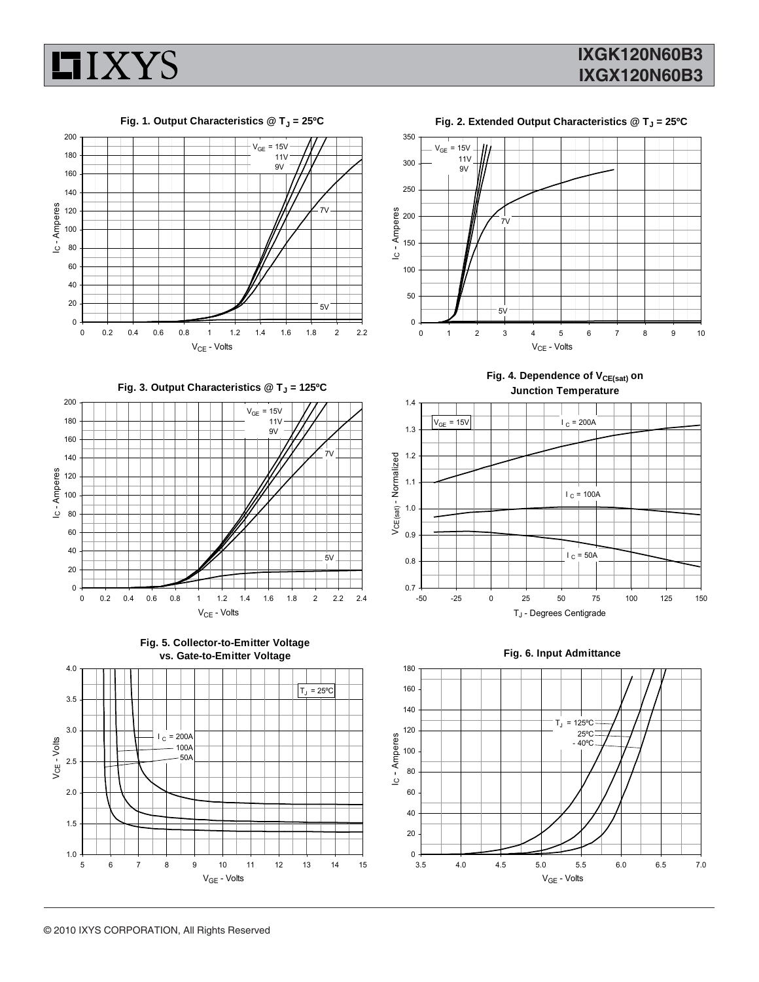



Fig. 1. Output Characteristics @ T<sub>J</sub> = 25°C



Fig. 3. Output Characteristics @ T<sub>J</sub> = 125°C







Fig. 2. Extended Output Characteristics @ T<sub>J</sub> = 25°C



Fig. 4. Dependence of V<sub>CE(sat)</sub> on **Junction Temperature**





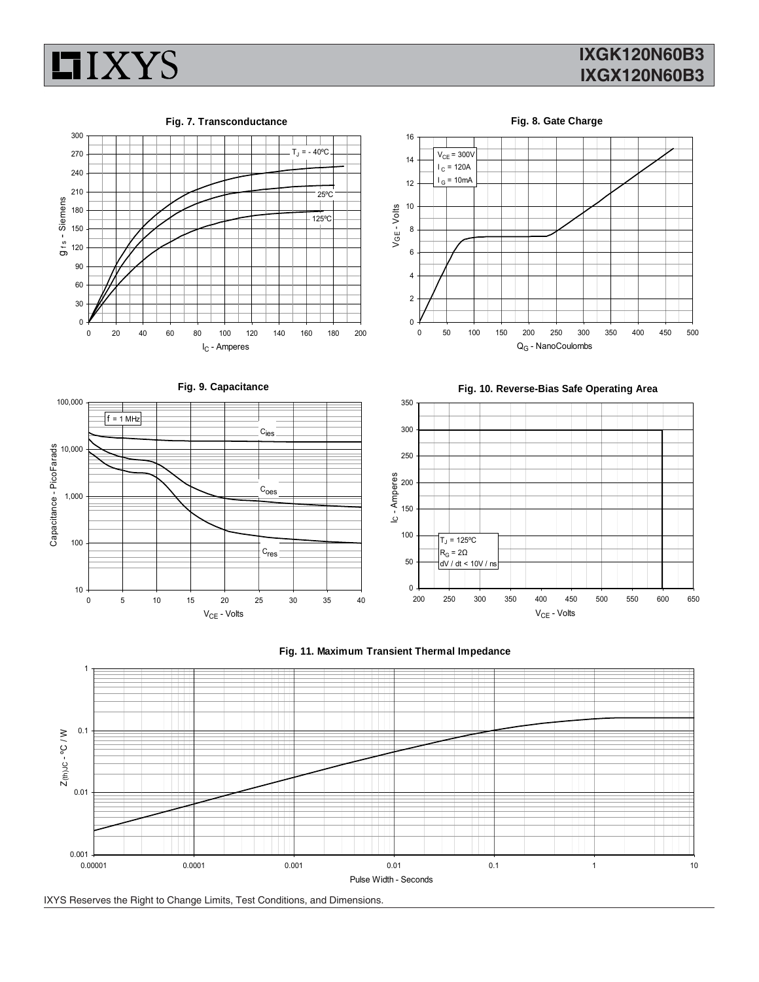

### **IXGK120N60B3 IXGX120N60B3**





**Fig. 8. Gate Charge**















IXYS Reserves the Right to Change Limits, Test Conditions, and Dimensions.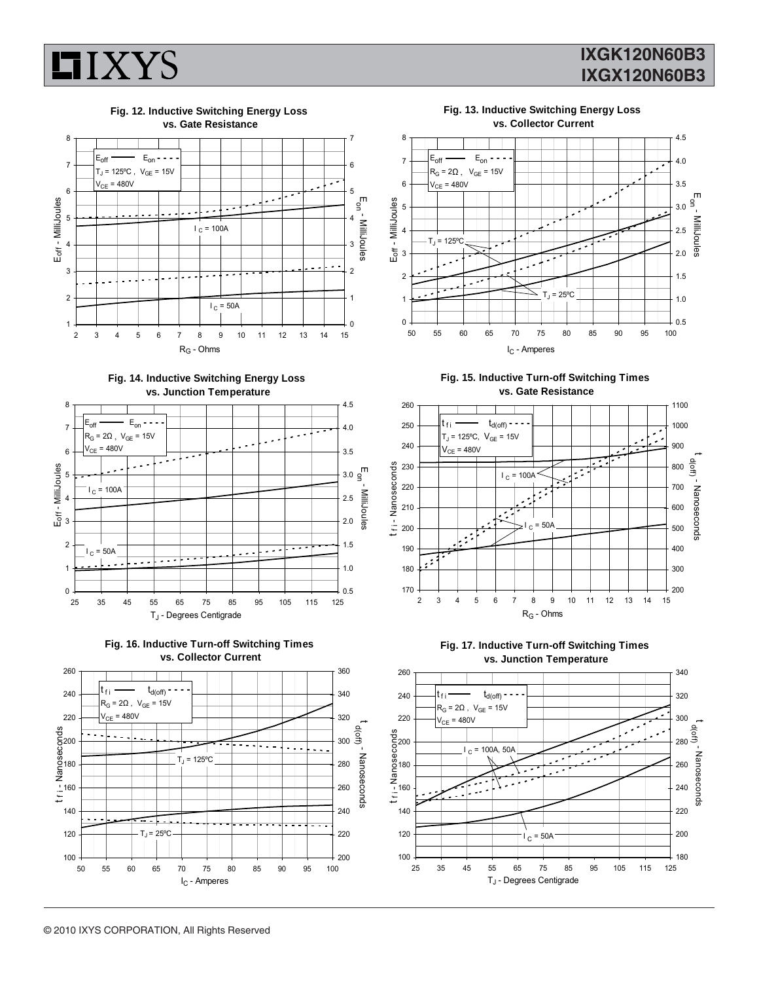

### **IXGK120N60B3 IXGX120N60B3**



**Fig. 14. Inductive Switching Energy Loss vs. Junction Temperature**







**Fig. 13. Inductive Switching Energy Loss vs. Collector Current**



**Fig. 15. Inductive Turn-off Switching Times vs. Gate Resistance**